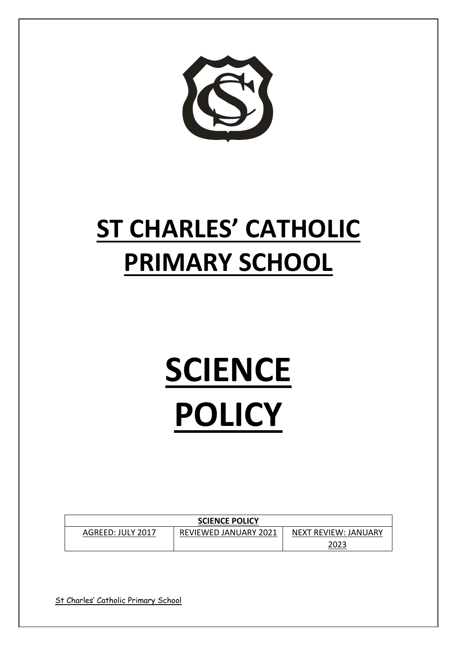

# **ST CHARLES' CATHOLIC PRIMARY SCHOOL**

# **SCIENCE POLICY**

| <b>SCIENCE POLICY</b> |                              |                      |
|-----------------------|------------------------------|----------------------|
| AGREED: JULY 2017     | <b>REVIEWED JANUARY 2021</b> | NEXT REVIEW: JANUARY |
|                       |                              | 2023                 |

St Charles' Catholic Primary School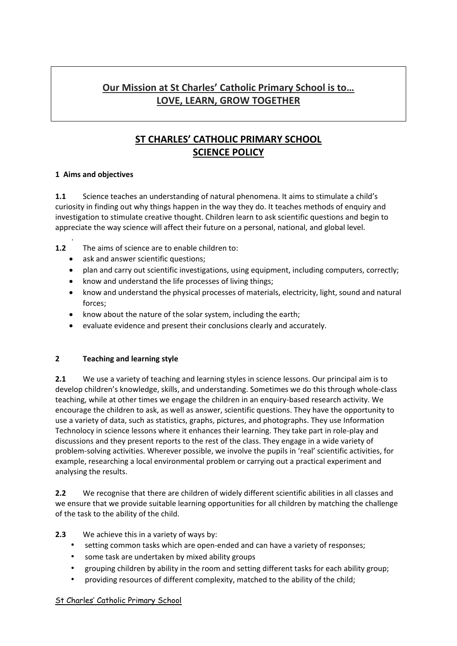# **Our Mission at St Charles' Catholic Primary School is to… LOVE, LEARN, GROW TOGETHER**

# **ST CHARLES' CATHOLIC PRIMARY SCHOOL SCIENCE POLICY**

## **1 Aims and objectives**

**1.1** Science teaches an understanding of natural phenomena. It aims to stimulate a child's curiosity in finding out why things happen in the way they do. It teaches methods of enquiry and investigation to stimulate creative thought. Children learn to ask scientific questions and begin to appreciate the way science will affect their future on a personal, national, and global level.

. **1.2** The aims of science are to enable children to:

- ask and answer scientific questions;
- plan and carry out scientific investigations, using equipment, including computers, correctly;
- know and understand the life processes of living things;
- know and understand the physical processes of materials, electricity, light, sound and natural forces;
- know about the nature of the solar system, including the earth;
- evaluate evidence and present their conclusions clearly and accurately.

#### **2 Teaching and learning style**

**2.1** We use a variety of teaching and learning styles in science lessons. Our principal aim is to develop children's knowledge, skills, and understanding. Sometimes we do this through whole-class teaching, while at other times we engage the children in an enquiry-based research activity. We encourage the children to ask, as well as answer, scientific questions. They have the opportunity to use a variety of data, such as statistics, graphs, pictures, and photographs. They use Information Technolocy in science lessons where it enhances their learning. They take part in role-play and discussions and they present reports to the rest of the class. They engage in a wide variety of problem-solving activities. Wherever possible, we involve the pupils in 'real' scientific activities, for example, researching a local environmental problem or carrying out a practical experiment and analysing the results.

**2.2** We recognise that there are children of widely different scientific abilities in all classes and we ensure that we provide suitable learning opportunities for all children by matching the challenge of the task to the ability of the child.

#### **2.3** We achieve this in a variety of ways by:

- setting common tasks which are open-ended and can have a variety of responses;
- some task are undertaken by mixed ability groups
- grouping children by ability in the room and setting different tasks for each ability group;
- providing resources of different complexity, matched to the ability of the child;

#### St Charles' Catholic Primary School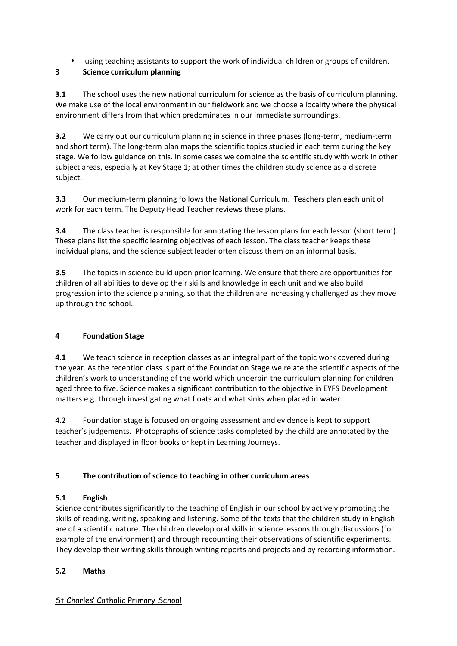• using teaching assistants to support the work of individual children or groups of children.

# **3 Science curriculum planning**

**3.1** The school uses the new national curriculum for science as the basis of curriculum planning. We make use of the local environment in our fieldwork and we choose a locality where the physical environment differs from that which predominates in our immediate surroundings.

**3.2** We carry out our curriculum planning in science in three phases (long-term, medium-term and short term). The long-term plan maps the scientific topics studied in each term during the key stage. We follow guidance on this. In some cases we combine the scientific study with work in other subject areas, especially at Key Stage 1; at other times the children study science as a discrete subject.

**3.3** Our medium-term planning follows the National Curriculum. Teachers plan each unit of work for each term. The Deputy Head Teacher reviews these plans.

**3.4** The class teacher is responsible for annotating the lesson plans for each lesson (short term). These plans list the specific learning objectives of each lesson. The class teacher keeps these individual plans, and the science subject leader often discuss them on an informal basis.

**3.5** The topics in science build upon prior learning. We ensure that there are opportunities for children of all abilities to develop their skills and knowledge in each unit and we also build progression into the science planning, so that the children are increasingly challenged as they move up through the school.

# **4 Foundation Stage**

**4.1** We teach science in reception classes as an integral part of the topic work covered during the year. As the reception class is part of the Foundation Stage we relate the scientific aspects of the children's work to understanding of the world which underpin the curriculum planning for children aged three to five. Science makes a significant contribution to the objective in EYFS Development matters e.g. through investigating what floats and what sinks when placed in water.

4.2 Foundation stage is focused on ongoing assessment and evidence is kept to support teacher's judgements. Photographs of science tasks completed by the child are annotated by the teacher and displayed in floor books or kept in Learning Journeys.

# **5 The contribution of science to teaching in other curriculum areas**

# **5.1 English**

Science contributes significantly to the teaching of English in our school by actively promoting the skills of reading, writing, speaking and listening. Some of the texts that the children study in English are of a scientific nature. The children develop oral skills in science lessons through discussions (for example of the environment) and through recounting their observations of scientific experiments. They develop their writing skills through writing reports and projects and by recording information.

# **5.2 Maths**

# St Charles' Catholic Primary School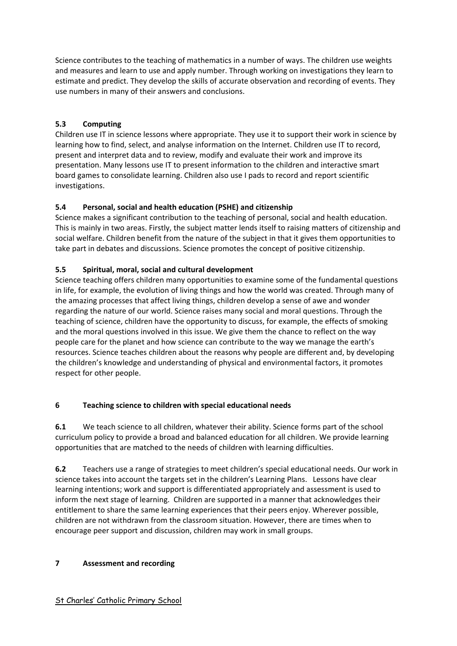Science contributes to the teaching of mathematics in a number of ways. The children use weights and measures and learn to use and apply number. Through working on investigations they learn to estimate and predict. They develop the skills of accurate observation and recording of events. They use numbers in many of their answers and conclusions.

# **5.3 Computing**

Children use IT in science lessons where appropriate. They use it to support their work in science by learning how to find, select, and analyse information on the Internet. Children use IT to record, present and interpret data and to review, modify and evaluate their work and improve its presentation. Many lessons use IT to present information to the children and interactive smart board games to consolidate learning. Children also use I pads to record and report scientific investigations.

# **5.4 Personal, social and health education (PSHE) and citizenship**

Science makes a significant contribution to the teaching of personal, social and health education. This is mainly in two areas. Firstly, the subject matter lends itself to raising matters of citizenship and social welfare. Children benefit from the nature of the subject in that it gives them opportunities to take part in debates and discussions. Science promotes the concept of positive citizenship.

## **5.5 Spiritual, moral, social and cultural development**

Science teaching offers children many opportunities to examine some of the fundamental questions in life, for example, the evolution of living things and how the world was created. Through many of the amazing processes that affect living things, children develop a sense of awe and wonder regarding the nature of our world. Science raises many social and moral questions. Through the teaching of science, children have the opportunity to discuss, for example, the effects of smoking and the moral questions involved in this issue. We give them the chance to reflect on the way people care for the planet and how science can contribute to the way we manage the earth's resources. Science teaches children about the reasons why people are different and, by developing the children's knowledge and understanding of physical and environmental factors, it promotes respect for other people.

#### **6 Teaching science to children with special educational needs**

**6.1** We teach science to all children, whatever their ability. Science forms part of the school curriculum policy to provide a broad and balanced education for all children. We provide learning opportunities that are matched to the needs of children with learning difficulties.

**6.2** Teachers use a range of strategies to meet children's special educational needs. Our work in science takes into account the targets set in the children's Learning Plans. Lessons have clear learning intentions; work and support is differentiated appropriately and assessment is used to inform the next stage of learning. Children are supported in a manner that acknowledges their entitlement to share the same learning experiences that their peers enjoy. Wherever possible, children are not withdrawn from the classroom situation. However, there are times when to encourage peer support and discussion, children may work in small groups.

#### **7 Assessment and recording**